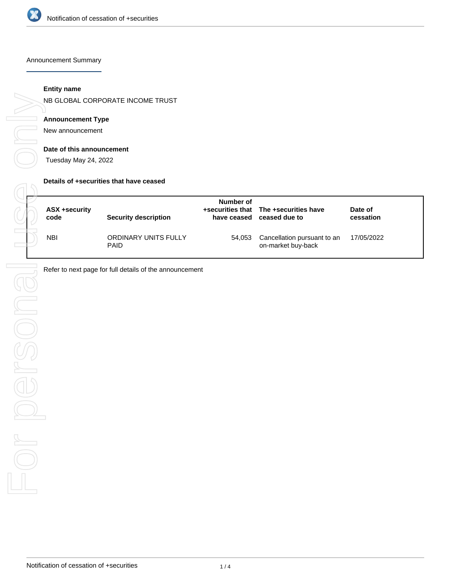

Announcement Summary

#### **Entity name**

NB GLOBAL CORPORATE INCOME TRUST

#### **Announcement Type**

New announcement

#### **Date of this announcement**

Tuesday May 24, 2022

#### **Details of +securities that have ceased**

| ASX +security<br>code | Security description                | Number of<br>have ceased | +securities that The +securities have<br>ceased due to | Date of<br>cessation |
|-----------------------|-------------------------------------|--------------------------|--------------------------------------------------------|----------------------|
| <b>NBI</b>            | ORDINARY UNITS FULLY<br><b>PAID</b> | 54,053                   | Cancellation pursuant to an<br>on-market buy-back      | 17/05/2022           |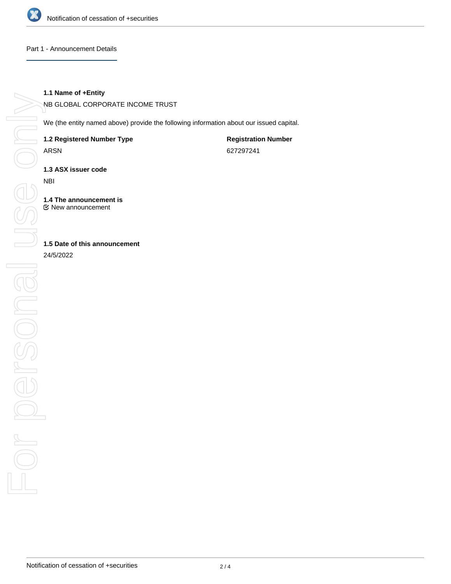

#### Part 1 - Announcement Details

#### **1.1 Name of +Entity**

NB GLOBAL CORPORATE INCOME TRUST

We (the entity named above) provide the following information about our issued capital.

**1.2 Registered Number Type**

ARSN

**Registration Number** 627297241

**1.3 ASX issuer code**

NBI

**1.4 The announcement is** New announcement

**1.5 Date of this announcement**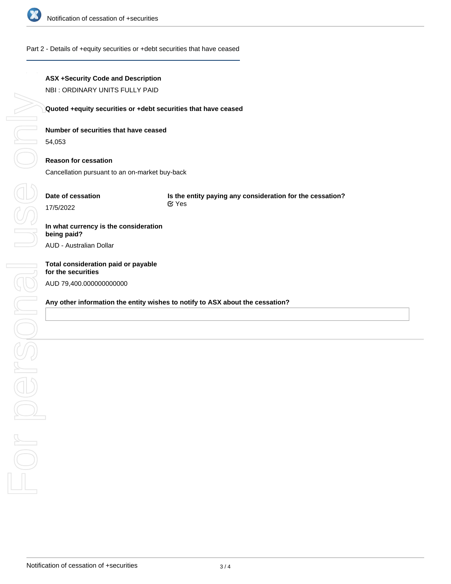

## Part 2 - Details of +equity securities or +debt securities that have ceased

## **ASX +Security Code and Description**

NBI : ORDINARY UNITS FULLY PAID

## **Quoted +equity securities or +debt securities that have ceased**

## **Number of securities that have ceased**

54,053

## **Reason for cessation**

Cancellation pursuant to an on-market buy-back

## **Date of cessation**

**Is the entity paying any consideration for the cessation?** Yes

## **In what currency is the consideration being paid?**

AUD - Australian Dollar

# **Total consideration paid or payable** AUD 79,400.000000000000

## **Any other information the entity wishes to notify to ASX about the cessation?**